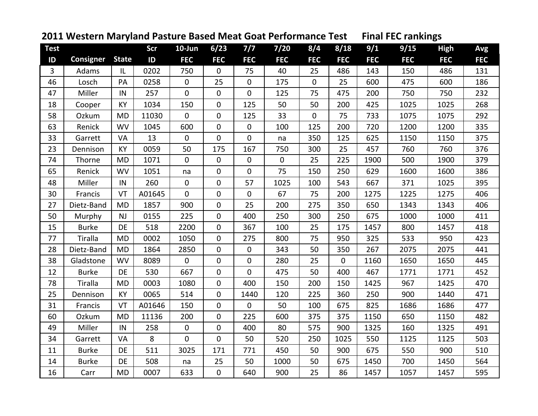## Test Scr 10-Jun 6/23 7/7 7/20 8/4 8/18 9/1 9/15 High Avg **ID ID FEC FEC FEC FEC FEC FEC FEC FEC FEC FEC**3 | Adams | IL | 0202 | 750 | 0 | 75 | 40 | 25 | 486 | 143 | 150 | 486 | 131 46 | Losch | PA | 0258 | 0 | 25 | 0 | 175 | 0 | 25 | 600 | 475 | 600 | 186 47 | Miller ||N | 257 | 0 | 0 | 0 | 125 | 75 | 475 | 200 | 750 | 750 | 232 232 18 | Cooper | KY | 1034 | 150 | 0 | 125 | 50 | 50 | 200 | 425 | 1025 | 1025 | 268 58 | Ozkum || MD || 11030 | || 0 || 1105 || 233 || 0 || 175 || 733 || 1075 || 1075 || 292 63 | Renick ||WV || 1045 || 600 || 0 || 0 || 100 || 125 || 200 || 720 || 1200 || 1200 || 1335 33 | Garrett | VA | 13 | 0 | 0 | 0 | na | 350 | 125 | 625 | 1150 | 1150 | 375 23 I Dennison I KY I 0059 I 50 I 175 I 167 I 750 I 300 I 25 I 457 I 760 I 760 I 376 74 Thorne MD 1071 0 0 0 0 25 225 1900 500 1900 37965 Renick WV 1051 na 0 0 75 150 250 629 1600 1600 38648 | Miller ||N | 260 | 0 | 0 | 57 | 1025 | 100 | 543 | 667 | 371 | 1025 | 395 30 | Francis | VT | A01645 | 0 | 0 | 0 | 67 | 75 | 200 | 1275 | 1225 | 1275 | 406 27 | Dietz-Band | MD | 1857 | 900 | 0 | 25 | 200 | 275 | 350 | 650 | 1343 | 1343 | 406 50 Murphy NJ 0155 225 0 400 250 300 250 675 1000 1000 411 15 | Burke | DE | 518 | 2200 | 0 | 367 | 100 | 25 | 175 | 1457 | 800 | 1457 | 418 77 Tiralla MD 0002 1050 0 275 800 75 950 325 533 950 42328 | Dietz-Band | MD | 1864 | 2850 | 0 | 0 | 343 | 50 | 350 | 267 | 2075 | 2075 | 441 38 | Gladstone | WV | 8089 | 0 | 0 | 280 | 25 | 0 | 1160 | 1650 | 1650 | 445 12 | Burke | DE | 530 | 667 | 0 | 0 | 475 | 50 | 400 | 467 | 1771 | 1771 | 452 78 Tiralla MD 0003 1080 0 400 150 200 150 1425 967 1425 47025 | Dennison | KY | 0065 | 514 | 0 | 1440 | 120 | 225 | 360 | 250 | 900 | 1440 | 471 31 | Francis | VT | A01646 | 150 | 0 | 0 | 50 | 100 | 675 | 825 | 1686 | 1686 | 477 60 | Ozkum ||MD ||| 11136 || 200 || || 0 || || 225 || || 600 || || 375 || 375 || 1150 || || 550 || || 1150 || || 482 49 | Miller ||N | 258 | 0 | 0 | 400 | 80 | 575 | 900 | 1325 | 160 | 1325 | 491 34 | Garrett | VA | 8 | 0 | 0 | 50 | 520 | 250 | 1025 | 550 | 1125 | 1125 | 503 11 | Burke | DE | 511 | 3025 | 171 | 771 | 450 | 50 | 900 | 675 | 550 | 900 | 510 14 | Burke | DE | 508 | na | 25 | 50 | 1000 | 50 | 675 | 1450 | 700 | 1450 | 564 564 16 L Carr IMD I 0007 L 633 L 0 L 640 L 900 L 25 L 86 L 1457 L 1057 L 1457 L 595 595 **Consigner State**

## **2011 Western Maryland Pasture Based Meat Goat Performance Test Final FEC rankings**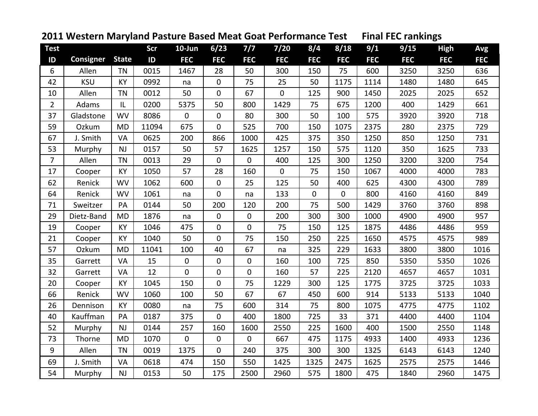## Test Scr 10-Jun 6/23 7/7 7/20 8/4 8/18 9/1 9/15 High Avg **ID ID FEC FEC FEC FEC FEC FEC FEC FEC FEC FEC Consigner State** 6 | Allen |TN | 0015 | 1467 | 28 | 50 | 300 | 150 | 75 | 600 | 3250 | 3250 | 636 42 I KSU IKY I 0992 I na I 0 I 75 I 25 I 50 I1175 I1114 I 1480 I 1480 I 645 10 | Allen | TN | 0012 | 50 | 0 | 67 | 0 | 125 | 900 | 1450 | 2025 | 2025 | 652 2 | Adams | IL | 0200 | 5375 | 50 | 800 | 1429 | 75 | 675 | 1200 | 400 | 1429 | 661 37 | Gladstone | WV | 8086 | 0 | 80 | 300 | 50 | 100 | 575 | 3920 | 3920 | 718 59 | Ozkum ||MD |||11094 || 675 || 0 || 525 || 700 || 150 || 1075 || 2375 || 230 || 2375 || 729 67 J. Smith . Smith | VA | 0625 | 200 | 866 | 1000 | 425 | 375 | 350 | 1250 | 1250 | 731 53 | Murphy | NJ | 0157 | 50 | 57 | 1625 | 1257 | 150 | 575 | 1120 | 350 | 1625 | 733 7 | Allen |TN | 0013 | 29 | 0 | 0 | 400 | 125 | 300 | 1250 | 3200 | 3200 | 754 17 | Cooper | KY | 1050 | 57 | 28 | 160 | 0 | 75 | 150 | 1067 | 4000 | 4000 | 783 62 | Renick ||WV || 1062 || 600 || || 0 || || || 25 || 125 || || 50 || || 400 || 625 || || 4300 || 4300 || || 789 64 Renick WV 1061 na 0 na 133 0 0 800 4160 4160 84971 | Sweitzer | PA | 0144 | 50 | 200 | 120 | 200 | 75 | 500 | 1429 | 3760 | 3760 | 898 29 | Dietz-Band | MD | 1876 | na | 0 | 0 | 200 | 300 | 300 | 1000 | 4900 | 4900 | 957 19 | Cooper | KY | 1046 | 475 | 0 | 0 | 75 | 150 | 125 | 1875 | 4486 | 4486 | 959 21 | Cooper | KY | 1040 | 50 | 0 | 75 | 150 | 250 | 225 | 1650 | 4575 | 4575 | 989 57 | Ozkum ||MD || 11041 || 100 || 40 || 67 || na || 325 || 229 || 1633 || 3800 || 3800 || 1016 35 | Garrett | VA | 15 | 0 | 0 | 0 | 160 | 100 | 725 | 850 | 5350 | 5350 | 1026 32 | Garrett | VA | 12 | 0 | 0 | 0 | 160 | 57 | 225 | 2120 | 4657 | 4657 | 1031 20 | Cooper | KY | 1045 | 150 | 0 | 75 | 1229 | 300 | 125 | 1775 | 3725 | 3725 | 1033 66 | Renick ||WV || 1060 || 100 || 50 || 67 || 67 || 450 || 600 || 914 || 5133 || 5133 || 1040 26 | Dennison | KY | 0080 | na | 75 | 600 | 314 | 75 | 800 | 1075 | 4775 | 4775 | 1102 40 | Kauffman | PA | 0187 | 375 | 0 | 400 | 1800 | 725 | 33 | 371 | 4400 | 4400 | 1104 52 Murphy NJ 0144 257 160 1600 2550 225 1600 400 1500 2550 1148 73 | Thorne ||MD || 1070 || 0 || 0 || 0 || 667 || 475 || 1175 || 4933 || 1400 || 4933 || 1236 9 | Allen | TN | 0019 | 1375 | 0 | 240 | 375 | 300 | 300 | 1325 | 6143 | 6143 | 1240 69 J. Smith . Smith | VA | 0618 | 474 | 150 | 550 | 1425 | 1325 | 1625 | 2575 | 2575 | 1446 54 | Murphy | NJ | 0153 | 50 | 175 | 2500 | 2960 | 575 | 1800 | 475 | 1840 | 2960 | 1475

## **2011 Western Maryland Pasture Based Meat Goat Performance Test Final FEC rankings**